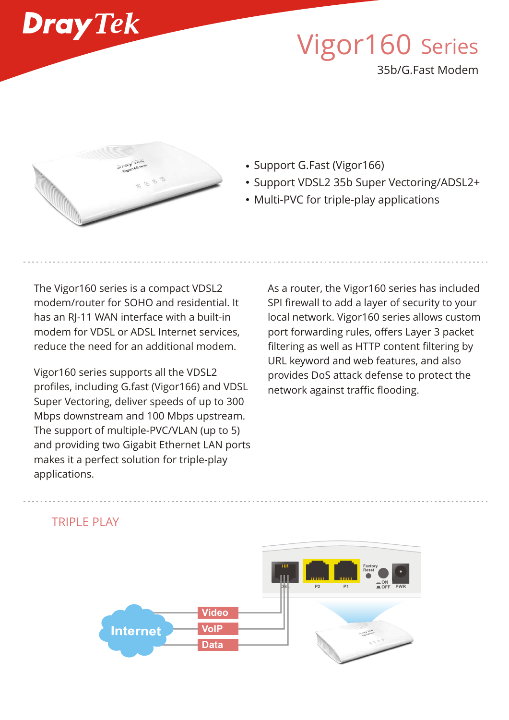

# Vigor160 Series

35b/G.Fast Modem



- Support G.Fast (Vigor166)
- Support VDSL2 35b Super Vectoring/ADSL2+
- Multi-PVC for triple-play applications

The Vigor160 series is a compact VDSL2 modem/router for SOHO and residential. It has an RJ-11 WAN interface with a built-in modem for VDSL or ADSL Internet services, reduce the need for an additional modem.

Vigor160 series supports all the VDSL2 profiles, including G.fast (Vigor166) and VDSL Super Vectoring, deliver speeds of up to 300 Mbps downstream and 100 Mbps upstream. The support of multiple-PVC/VLAN (up to 5) and providing two Gigabit Ethernet LAN ports makes it a perfect solution for triple-play applications.

As a router, the Vigor160 series has included SPI firewall to add a layer of security to your local network. Vigor160 series allows custom port forwarding rules, offers Layer 3 packet filtering as well as HTTP content filtering by URL keyword and web features, and also provides DoS attack defense to protect the network against traffic flooding.



# TRIPI F PLAY